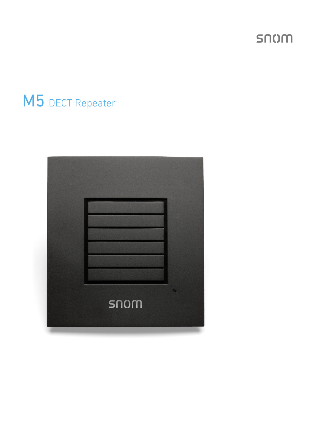# M5 DECT Repeater

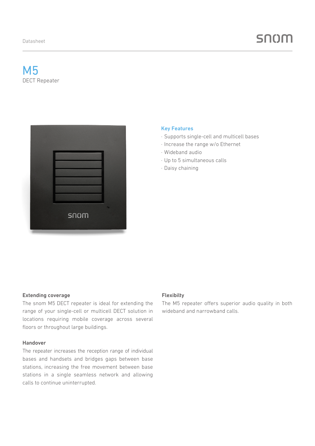## M5 DECT Repeater



#### Key Features

- · Supports single-cell and multicell bases
- · Increase the range w/o Ethernet
- · Wideband audio
- · Up to 5 simultaneous calls
- · Daisy chaining

#### Extending coverage

The snom M5 DECT repeater is ideal for extending the range of your single-cell or multicell DECT solution in locations requiring mobile coverage across several floors or throughout large buildings.

#### Handover

The repeater increases the reception range of individual bases and handsets and bridges gaps between base stations, increasing the free movement between base stations in a single seamless network and allowing calls to continue uninterrupted.

#### Flexibilty

The M5 repeater offers superior audio quality in both wideband and narrowband calls.